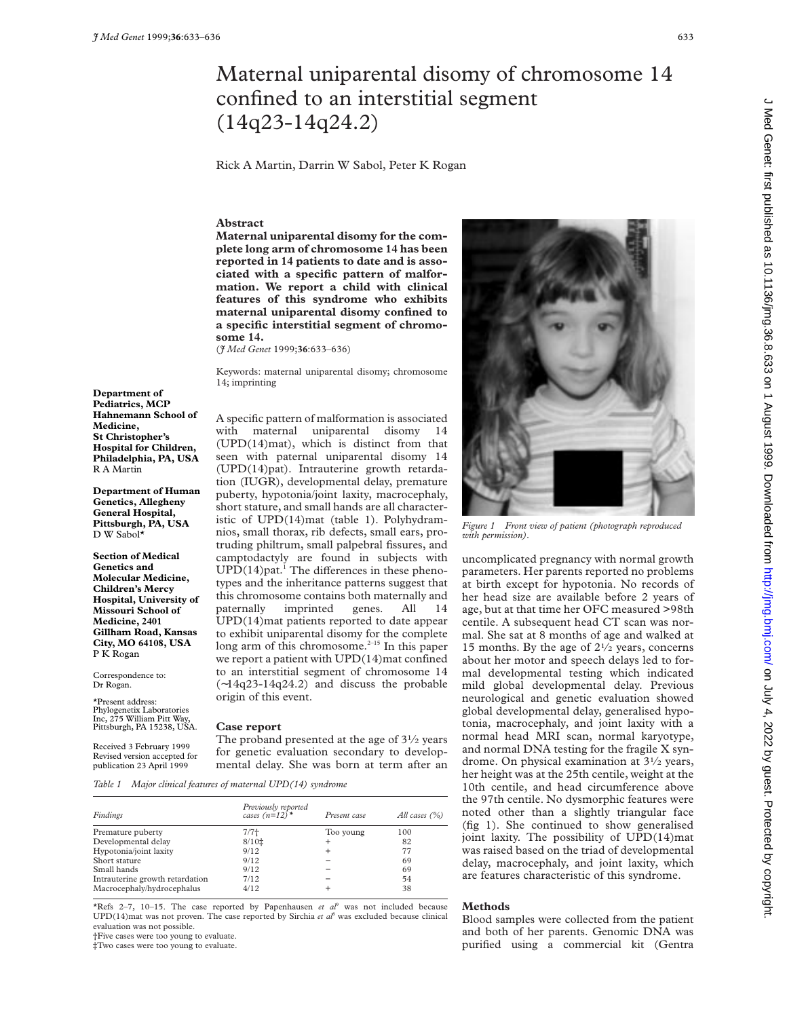# Maternal uniparental disomy of chromosome 14 confined to an interstitial segment (14q23-14q24.2)

Rick A Martin, Darrin W Sabol, Peter K Rogan

### **Abstract**

**Maternal uniparental disomy for the complete long arm of chromosome 14 has been reported in 14 patients to date and is associated with a specific pattern of malformation. We report a child with clinical features of this syndrome who exhibits maternal uniparental disomy confined to a specific interstitial segment of chromosome 14.**

(*J Med Genet* 1999;**36**:633–636)

Keywords: maternal uniparental disomy; chromosome 14; imprinting

**Department of Pediatrics, MCP Hahnemann School of Medicine, St Christopher's Hospital for Children, Philadelphia, PA, USA** R A Martin

**Department of Human Genetics, Allegheny General Hospital, Pittsburgh, PA, USA** D W Sabol\*

**Section of Medical Genetics and Molecular Medicine, Children's Mercy Hospital, University of Missouri School of Medicine, 2401 Gillham Road, Kansas City, MO 64108, USA** P K Rogan

Correspondence to: Dr Rogan.

\*Present address: Phylogenetix Laboratories Inc, 275 William Pitt Way, Pittsburgh, PA 15238, USA.

Received 3 February 1999 Revised version accepted for publication 23 April 1999

A specific pattern of malformation is associated with maternal uniparental disomy 14 (UPD(14)mat), which is distinct from that seen with paternal uniparental disomy 14 (UPD(14)pat). Intrauterine growth retardation (IUGR), developmental delay, premature puberty, hypotonia/joint laxity, macrocephaly, short stature, and small hands are all characteristic of UPD(14)mat (table 1). Polyhydramnios, small thorax, rib defects, small ears, protruding philtrum, small palpebral fissures, and camptodactyly are found in subjects with  $UPD(14)$ pat.<sup>1</sup> The differences in these phenotypes and the inheritance patterns suggest that this chromosome contains both maternally and paternally imprinted genes. All 14 UPD(14)mat patients reported to date appear to exhibit uniparental disomy for the complete long arm of this chromosome. $2-15$  In this paper we report a patient with UPD(14)mat confined to an interstitial segment of chromosome 14 (∼14q23-14q24.2) and discuss the probable origin of this event.

#### **Case report**

The proband presented at the age of  $3\frac{1}{2}$  years for genetic evaluation secondary to developmental delay. She was born at term after an

*Table 1 Major clinical features of maternal UPD(14) syndrome*

| Findings                        | Previously reported<br>cases $(n=12)$ <sup>*</sup> | Present case | All cases $(\% )$ |
|---------------------------------|----------------------------------------------------|--------------|-------------------|
| Premature puberty               | $7/7+$                                             | Too young    | 100               |
| Developmental delay             | $8/10$ <sup><math>\pm</math></sup>                 |              | 82                |
| Hypotonia/joint laxity          | 9/12                                               | $\pm$        | 77                |
| Short stature                   | 9/12                                               |              | 69                |
| Small hands                     | 9/12                                               |              | 69                |
| Intrauterine growth retardation | 7/12                                               |              | 54                |
| Macrocephaly/hydrocephalus      | 4/12                                               |              | 38                |

\*Refs 2-7, 10-15. The case reported by Papenhausen  $et$   $a^{\beta}$  was not included because UPD(14)mat was not proven. The case reported by Sirchia *et al*<sup>8</sup> was excluded because clinical evaluation was not possible.

†Five cases were too young to evaluate.

‡Two cases were too young to evaluate.



*Figure 1 Front view of patient (photograph reproduced with permission).*

uncomplicated pregnancy with normal growth parameters. Her parents reported no problems at birth except for hypotonia. No records of her head size are available before 2 years of age, but at that time her OFC measured >98th centile. A subsequent head CT scan was normal. She sat at 8 months of age and walked at 15 months. By the age of  $2\frac{1}{2}$  years, concerns about her motor and speech delays led to formal developmental testing which indicated mild global developmental delay. Previous neurological and genetic evaluation showed global developmental delay, generalised hypotonia, macrocephaly, and joint laxity with a normal head MRI scan, normal karyotype, and normal DNA testing for the fragile X syndrome. On physical examination at 31⁄2 years, her height was at the 25th centile, weight at the 10th centile, and head circumference above the 97th centile. No dysmorphic features were noted other than a slightly triangular face (fig 1). She continued to show generalised joint laxity. The possibility of UPD(14)mat was raised based on the triad of developmental delay, macrocephaly, and joint laxity, which are features characteristic of this syndrome.

## **Methods**

Blood samples were collected from the patient and both of her parents. Genomic DNA was purified using a commercial kit (Gentra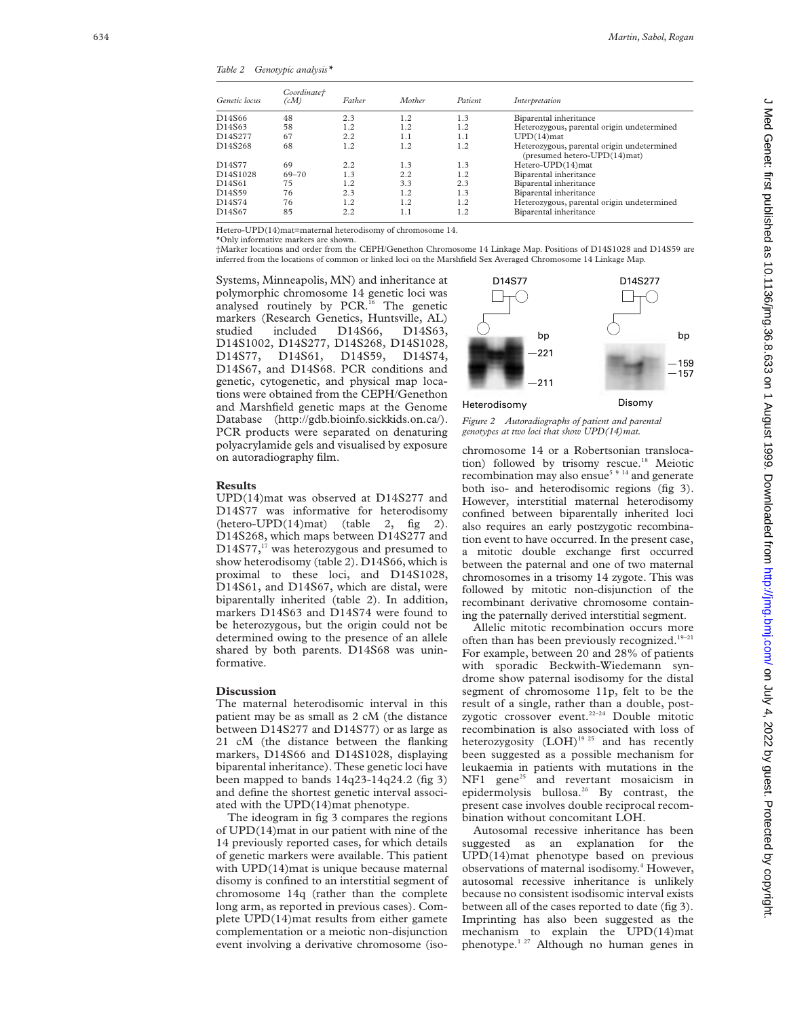*Table 2 Genotypic analysis\**

| Genetic locus | Coordinate†<br>(cM) | Father | Mother | Patient | Interpretation                                                             |
|---------------|---------------------|--------|--------|---------|----------------------------------------------------------------------------|
| D14S66        | 48                  | 2.3    | 1.2    | 1.3     | Biparental inheritance                                                     |
| D14S63        | 58                  | 1.2    | 1.2    | 1.2     | Heterozygous, parental origin undetermined                                 |
| D14S277       | 67                  | 2.2    | 1.1    | 1.1     | $UPD(14)$ mat                                                              |
| D14S268       | 68                  | 1.2    | 1.2    | 1.2     | Heterozygous, parental origin undetermined<br>(presumed hetero-UPD(14)mat) |
| D14S77        | 69                  | 2.2    | 1.3    | 1.3     | Hetero-UPD(14)mat                                                          |
| D14S1028      | 69-70               | 1.3    | 2.2    | 1.2     | Biparental inheritance                                                     |
| D14S61        | 75                  | 1.2    | 3.3    | 2.3     | Biparental inheritance                                                     |
| D14S59        | 76                  | 2.3    | 1.2    | 1.3     | Biparental inheritance                                                     |
| D14S74        | 76                  | 1.2    | 1.2    | 1.2     | Heterozygous, parental origin undetermined                                 |
| D14S67        | 85                  | 2.2    | 1.1    | 1.2     | Biparental inheritance                                                     |

Hetero-UPD(14)mat=maternal heterodisomy of chromosome 14.

\*Only informative markers are shown.

†Marker locations and order from the CEPH/Genethon Chromosome 14 Linkage Map. Positions of D14S1028 and D14S59 are inferred from the locations of common or linked loci on the Marshfield Sex Averaged Chromosome 14 Linkage Map.

Systems, Minneapolis, MN) and inheritance at polymorphic chromosome 14 genetic loci was analysed routinely by PCR.<sup>16</sup> The genetic markers (Research Genetics, Huntsville, AL) studied included D14S66, D14S63, D14S1002, D14S277, D14S268, D14S1028, D14S77, D14S61, D14S59, D14S74, D14S67, and D14S68. PCR conditions and genetic, cytogenetic, and physical map locations were obtained from the CEPH/Genethon and Marshfield genetic maps at the Genome Database (http://gdb.bioinfo.sickkids.on.ca/). PCR products were separated on denaturing polyacrylamide gels and visualised by exposure on autoradiography film.



*Figure 2 Autoradiographs of patient and parental genotypes at two loci that show UPD(14)mat.*

## **Results**

UPD(14)mat was observed at D14S277 and D14S77 was informative for heterodisomy  $(hetero-UPD(14)mat)$  (table 2, fig 2). D14S268, which maps between D14S277 and  $D14S77$ ,<sup>17</sup> was heterozygous and presumed to show heterodisomy (table 2). D14S66, which is proximal to these loci, and D14S1028, D14S61, and D14S67, which are distal, were biparentally inherited (table 2). In addition, markers D14S63 and D14S74 were found to be heterozygous, but the origin could not be determined owing to the presence of an allele shared by both parents. D14S68 was uninformative.

### **Discussion**

The maternal heterodisomic interval in this patient may be as small as 2 cM (the distance between D14S277 and D14S77) or as large as 21 cM (the distance between the flanking markers, D14S66 and D14S1028, displaying biparental inheritance). These genetic loci have been mapped to bands 14q23-14q24.2 (fig 3) and define the shortest genetic interval associated with the UPD(14)mat phenotype.

The ideogram in fig 3 compares the regions of UPD(14)mat in our patient with nine of the 14 previously reported cases, for which details of genetic markers were available. This patient with UPD(14)mat is unique because maternal disomy is confined to an interstitial segment of chromosome 14q (rather than the complete long arm, as reported in previous cases). Complete UPD(14)mat results from either gamete complementation or a meiotic non-disjunction event involving a derivative chromosome (isochromosome 14 or a Robertsonian translocation) followed by trisomy rescue.<sup>18</sup> Meiotic recombination may also ensue<sup>5 9 14</sup> and generate both iso- and heterodisomic regions (fig 3). However, interstitial maternal heterodisomy confined between biparentally inherited loci also requires an early postzygotic recombination event to have occurred. In the present case, a mitotic double exchange first occurred between the paternal and one of two maternal chromosomes in a trisomy 14 zygote. This was followed by mitotic non-disjunction of the recombinant derivative chromosome containing the paternally derived interstitial segment.

Allelic mitotic recombination occurs more often than has been previously recognized.<sup>19-21</sup> For example, between 20 and 28% of patients with sporadic Beckwith-Wiedemann syndrome show paternal isodisomy for the distal segment of chromosome 11p, felt to be the result of a single, rather than a double, postzygotic crossover event.<sup>22-24</sup> Double mitotic recombination is also associated with loss of heterozygosity (LOH)<sup>19 25</sup> and has recently been suggested as a possible mechanism for leukaemia in patients with mutations in the  $NF1$  gene<sup>25</sup> and revertant mosaicism in epidermolysis bullosa.<sup>26</sup> By contrast, the present case involves double reciprocal recombination without concomitant LOH.

Autosomal recessive inheritance has been suggested as an explanation for the UPD(14)mat phenotype based on previous observations of maternal isodisomy. <sup>4</sup> However, autosomal recessive inheritance is unlikely because no consistent isodisomic interval exists between all of the cases reported to date (fig 3). Imprinting has also been suggested as the mechanism to explain the UPD(14)mat phenotype.1 27 Although no human genes in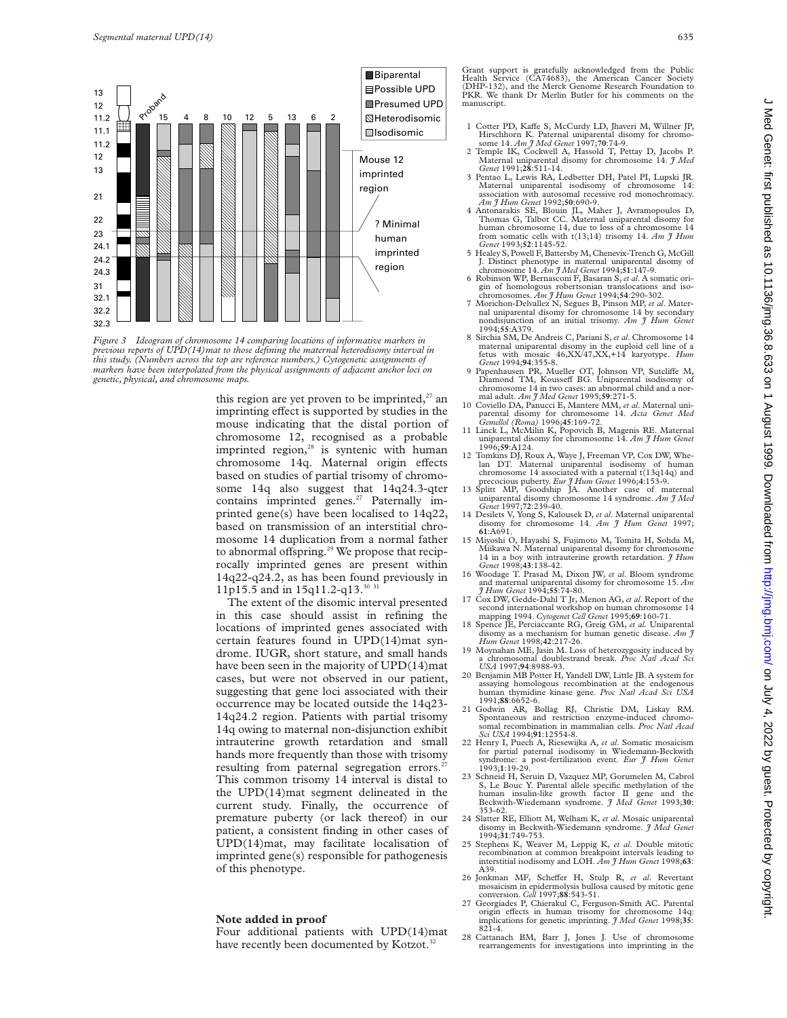



this region are yet proven to be imprinted, $27$  and imprinting effect is supported by studies in the mouse indicating that the distal portion of chromosome 12, recognised as a probable imprinted region, $28$  is syntenic with human chromosome 14q. Maternal origin effects based on studies of partial trisomy of chromosome 14q also suggest that 14q24.3-qter contains imprinted genes.<sup>27</sup> Paternally imprinted gene(s) have been localised to 14q22, based on transmission of an interstitial chromosome 14 duplication from a normal father to abnormal offspring.<sup>29</sup> We propose that reciprocally imprinted genes are present within 14q22-q24.2, as has been found previously in 11p15.5 and in 15q11.2-q13.<sup>30 3</sup> **Paying and Controller Comparison (Federal method) and Comparison Fiture in the Comparison of the Comparison of the Comparison of the Comparison of the Comparison of the Comparison of the Comparison of the Comparison of t** 

The extent of the disomic interval presented in this case should assist in refining the locations of imprinted genes associated with certain features found in UPD(14)mat syndrome. IUGR, short stature, and small hands have been seen in the majority of UPD(14)mat cases, but were not observed in our patient, suggesting that gene loci associated with their occurrence may be located outside the 14q23- 14q24.2 region. Patients with partial trisomy 14q owing to maternal non-disjunction exhibit intrauterine growth retardation and small hands more frequently than those with trisomy resulting from paternal segregation errors.<sup>2</sup> This common trisomy 14 interval is distal to the UPD(14)mat segment delineated in the current study. Finally, the occurrence of premature puberty (or lack thereof) in our patient, a consistent finding in other cases of UPD(14)mat, may facilitate localisation of imprinted gene(s) responsible for pathogenesis of this phenotype.

## **Note added in proof**

Four additional patients with UPD(14)mat have recently been documented by Kotzot.<sup>32</sup>

Grant support is gratefully acknowledged from the Public Health Service (CA74683), the American Cancer Society (DHP-132), and the Merck Genome Research Foundation to PKR. We thank Dr Merlin Butler for his comments on the manuscript.

- 1 Cotter PD, Kaffe S, McCurdy LD, Jhaveri M, Willner JP,
- Hirschhorn K. Paternal uniparental disomy for chromo-<br>some 14. *Am J Med Genet* 1997;**70**:74-9.<br>2 Temple IK, Cockwell A, Hassold T, Pettay D, Jacobs P.<br>Maternal uniparental disomy for chromosome 14. *J Med*
- Genet 1991;28:511-14.<br>
3 Pentao L, Lewis RA, Ledbetter DH, Patel PI, Lupski JR.<br>
Maternal uniparental isodisomy of chromosome 14:<br>
association with autosomal recessive rod monochromacy. *Am J Hum Genet* 1992;**50**:690-9.
- 4 Antonarakis SE, Blouin JL, Maher J, Avramopoulos D, Thomas G, Talbot CC. Maternal uniparental disomy for human chromosome 14, due to loss of a chromosome 14 from somatic cells with t(13;14) trisomy 14. *Am J Hum*
- Genet 1993;52:1145-52.<br>5 Healey S, Powell F, Battersby M, Chenevix-Trench G, McGill<br>J. Distinct phenotype in maternal uniparental disomy of<br>chromosome 14. Am J Med Genet 1994;51:147-9.<br>6 Robinson WP, Bernasconi F, Basaran
- gin of homologous robertsonian translocations and iso-chromosomes. *Am J Hum Genet* 1994;**54**:290-302.
- 7 Morichon-Delvallez N, Segues B, Pinson MP, *et al*. Maternal uniparental disomy for chromosome 14 by secondary nondisjunction of an initial trisomy. *Am J Hum Genet* 1994;**55**:A379.
- 8 Sirchia SM, De Andreis C, Pariani S, *et al*. Chromosome 14 maternal uniparental disomy in the euploid cell line of a fetus with mosaic 46,XX/47,XX,+14 karyotype. *Hum Genet* 1994;**94**:355-8.
- 9 Papenhausen PR, Mueller OT, Johnson VP, Sutcliffe M, Diamond TM, Kousseff BG. Uniparental isodisomy of chromosome 14 in two cases: an abnormal child and a normal adult. Am  $\hat{\jmath}$  Med Genet 1995;59:271-5.
- 10 Coviello DA, Panucci E, Mantere MM, et al. Maternal uniparental disomy for chromosome 14. *Acta Genet Med*
- *Gemellol (Roma)* 1996;**45**:169-72. 11 Linck L, McMilin K, Popovich B, Magenis RE. Maternal uniparental disomy for chromosome 14. *Am J Hum Genet* 1996;**59**:A124.
- 12 Tomkins DJ, Roux A, Waye J, Freeman VP, Cox DW, Whe-lan DT. Maternal uniparental isodisomy of human chromosome 14 associated with a paternal t(13q14q) and precocious puberty. *Eur J Hum Genet* 1996;**4**:153-9.
- 13 Splitt MP, Goodship JA. Another case of maternal uniparental disomy chromosome 14 syndrome. *Am J Med*
- 14 Desilets V, Yong S, Kalousek D, *et al.* Maternal uniparental disomy for chromosome 14. *Am J Hum Genet* 1997;
- **61**:A691. 15 Miyoshi O, Hayashi S, Fujimoto M, Tomita H, Sohda M, Miikawa N. Maternal uniparental disomy for chromosome 14 in a boy with intrauterine growth retardation. *J Hum*
- *Genet* 1998;**43**:138-42. 16 Woodage T. Prasad M, Dixon JW, *et al*. Bloom syndrome and maternal uniparental disomy for chromosome 15. *Am J Hum Genet* 1994;**55**:74-80.
- 17 Cox DW, Gedde-Dahl T Jr, Menon AG, et al. Report of the second international workshop on human chromosome 14 mapping 1994. Cytogenet Cell Genet 1995;69:160-71.<br>18 Spence JE, Perciaccante RG, Greig GM, et al. Uniparental
- disomy as a mechanism for human genetic disease. *Am J Hum Genet* 1998;**42**:217-26.
- 19 Moynahan ME, Jasin M. Loss of heterozygosity induced by a chromosomal doublestrand break. *Proc Natl Acad Sci*
- *USA* 1997;**94**:8988-93. 20 Benjamin MB Potter H, Yandell DW, Little JB. A system for assaying homologous recombination at the endogenous human thymidine kinase gene. *Proc Natl Acad Sci USA*
- 1991;**88**:6652-6. 21 Godwin AR, Bollag RJ, Christie DM, Liskay RM. Spontaneous and restriction enzyme-induced chromosomal recombination in mammalian cells. *Proc Natl Acad Sci USA* 1994;**91**:12554-8.
- 22 Henry I, Puech A, Riesewijka A, *et al*. Somatic mosaicism for partial paternal isodisomy in Wiedemann-Beckwith syndrome: a post-fertilization event. *Eur J Hum Genet* 1993;**1**:19-29.
- 23 Schneid H, Seruin D, Vazquez MP, Gorumelen M, Cabrol<br>S, Le Bouc Y. Parental allele specific methylation of the<br>human insulin-like growth factor II gene and the<br>Beckwith-Wiedemann syndrome. *J Med Genet* 1993;30:
- 353-62. 24 Slatter RE, Elliott M, Welham K, *et al*. Mosaic uniparental disomy in Beckwith-Wiedemann syndrome. *J Med Genet* 1994;**31**:749-753.
- 25 Stephens K, Weaver M, Leppig K, *et al*. Double mitotic recombination at common breakpoint intervals leading to interstitial isodisomy and LOH. *Am J Hum Genet* 1998;**63**: A39.
- 26 Jonkman MF, Scheffer H, Stulp R, et al. Revertant mosaicism in epidermolysis bullosa caused by mitotic gene conversion. *Cell* 1997;**88**:543-51.
- 27 Georgiades P, Chierakul C, Ferguson-Smith AC. Parental origin effects in human trisomy for chromosome 14q implications for genetic imprinting. *J Med Genet* 1998;**35**:  $821 - 4$
- 28 Cattanach BM, Barr J, Jones J. Use of chromosome rearrangements for investigations into imprinting in the